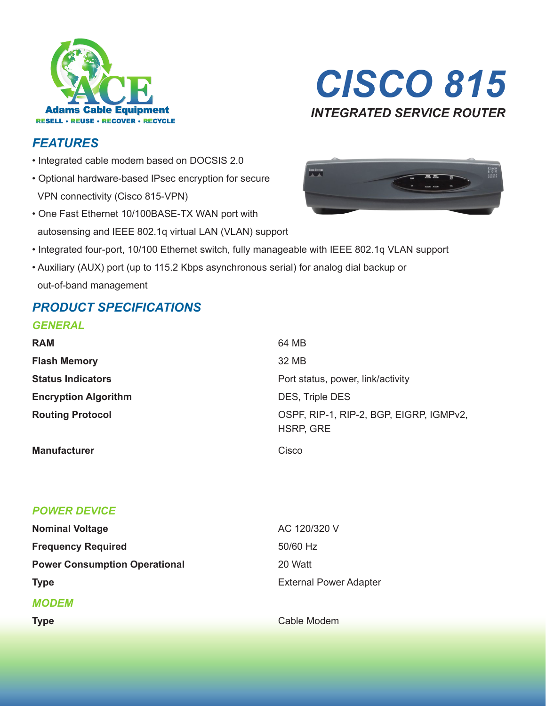



### *FEATURES*

- Integrated cable modem based on DOCSIS 2.0
- Optional hardware-based IPsec encryption for secure VPN connectivity (Cisco 815-VPN)
- One Fast Ethernet 10/100BASE-TX WAN port with autosensing and IEEE 802.1q virtual LAN (VLAN) support



- Integrated four-port, 10/100 Ethernet switch, fully manageable with IEEE 802.1q VLAN support
- Auxiliary (AUX) port (up to 115.2 Kbps asynchronous serial) for analog dial backup or out-of-band management

# *PRODUCT SPECIFICATIONS*

#### *GENERAL*

| <b>RAM</b>                  | 64 MB                                                       |
|-----------------------------|-------------------------------------------------------------|
| <b>Flash Memory</b>         | 32 MB                                                       |
| <b>Status Indicators</b>    | Port status, power, link/activity                           |
| <b>Encryption Algorithm</b> | DES, Triple DES                                             |
| <b>Routing Protocol</b>     | OSPF, RIP-1, RIP-2, BGP, EIGRP, IGMPv2,<br><b>HSRP, GRE</b> |
| <b>Manufacturer</b>         | Cisco                                                       |

### *POWER DEVICE*

| <b>Nominal Voltage</b>               | AC 120/320 V                  |
|--------------------------------------|-------------------------------|
| <b>Frequency Required</b>            | 50/60 Hz                      |
| <b>Power Consumption Operational</b> | 20 Watt                       |
| <b>Type</b>                          | <b>External Power Adapter</b> |
| <b>MODEM</b>                         |                               |
| <b>Type</b>                          | Cable Modem                   |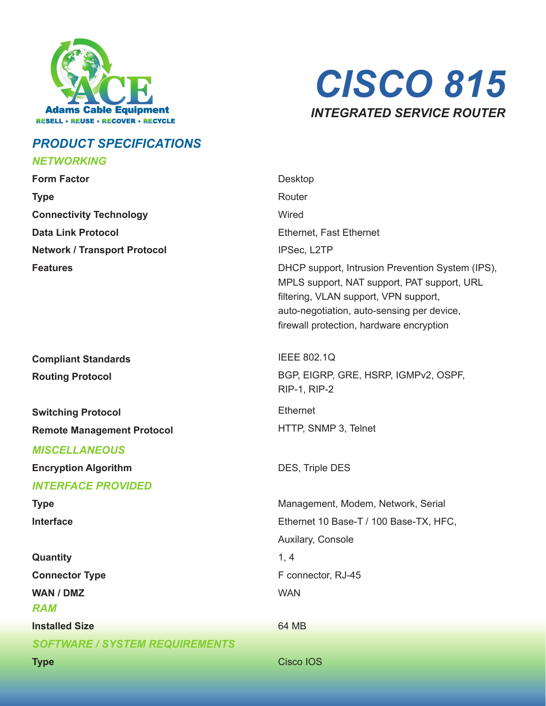



# **PRODUCT SPECIFICATIONS**

#### **NETWORKING**

| <b>Form Factor</b>                    | Desktop                                                                                                                                                                                                                            |
|---------------------------------------|------------------------------------------------------------------------------------------------------------------------------------------------------------------------------------------------------------------------------------|
| <b>Type</b>                           | Router                                                                                                                                                                                                                             |
| <b>Connectivity Technology</b>        | Wired                                                                                                                                                                                                                              |
| <b>Data Link Protocol</b>             | Ethernet, Fast Ethernet                                                                                                                                                                                                            |
| <b>Network / Transport Protocol</b>   | IPSec, L2TP                                                                                                                                                                                                                        |
| <b>Features</b>                       | DHCP support, Intrusion Prevention System (IPS),<br>MPLS support, NAT support, PAT support, URL<br>filtering, VLAN support, VPN support,<br>auto-negotiation, auto-sensing per device,<br>firewall protection, hardware encryption |
| <b>Compliant Standards</b>            | <b>IEEE 802.1Q</b>                                                                                                                                                                                                                 |
| <b>Routing Protocol</b>               | BGP, EIGRP, GRE, HSRP, IGMPv2, OSPF,<br><b>RIP-1, RIP-2</b>                                                                                                                                                                        |
| <b>Switching Protocol</b>             | Ethernet                                                                                                                                                                                                                           |
| <b>Remote Management Protocol</b>     | HTTP, SNMP 3, Telnet                                                                                                                                                                                                               |
| <b>MISCELLANEOUS</b>                  |                                                                                                                                                                                                                                    |
| <b>Encryption Algorithm</b>           | DES, Triple DES                                                                                                                                                                                                                    |
| <b>INTERFACE PROVIDED</b>             |                                                                                                                                                                                                                                    |
| <b>Type</b>                           | Management, Modem, Network, Serial                                                                                                                                                                                                 |
| <b>Interface</b>                      | Ethernet 10 Base-T / 100 Base-TX, HFC,                                                                                                                                                                                             |
|                                       | Auxilary, Console                                                                                                                                                                                                                  |
| Quantity                              | 1, 4                                                                                                                                                                                                                               |
| <b>Connector Type</b>                 | F connector, RJ-45                                                                                                                                                                                                                 |
| WAN / DMZ                             | <b>WAN</b>                                                                                                                                                                                                                         |
| <b>RAM</b>                            |                                                                                                                                                                                                                                    |
| <b>Installed Size</b>                 | 64 MB                                                                                                                                                                                                                              |
| <b>SOFTWARE / SYSTEM REQUIREMENTS</b> |                                                                                                                                                                                                                                    |
| <b>Type</b>                           | <b>Cisco IOS</b>                                                                                                                                                                                                                   |
|                                       |                                                                                                                                                                                                                                    |